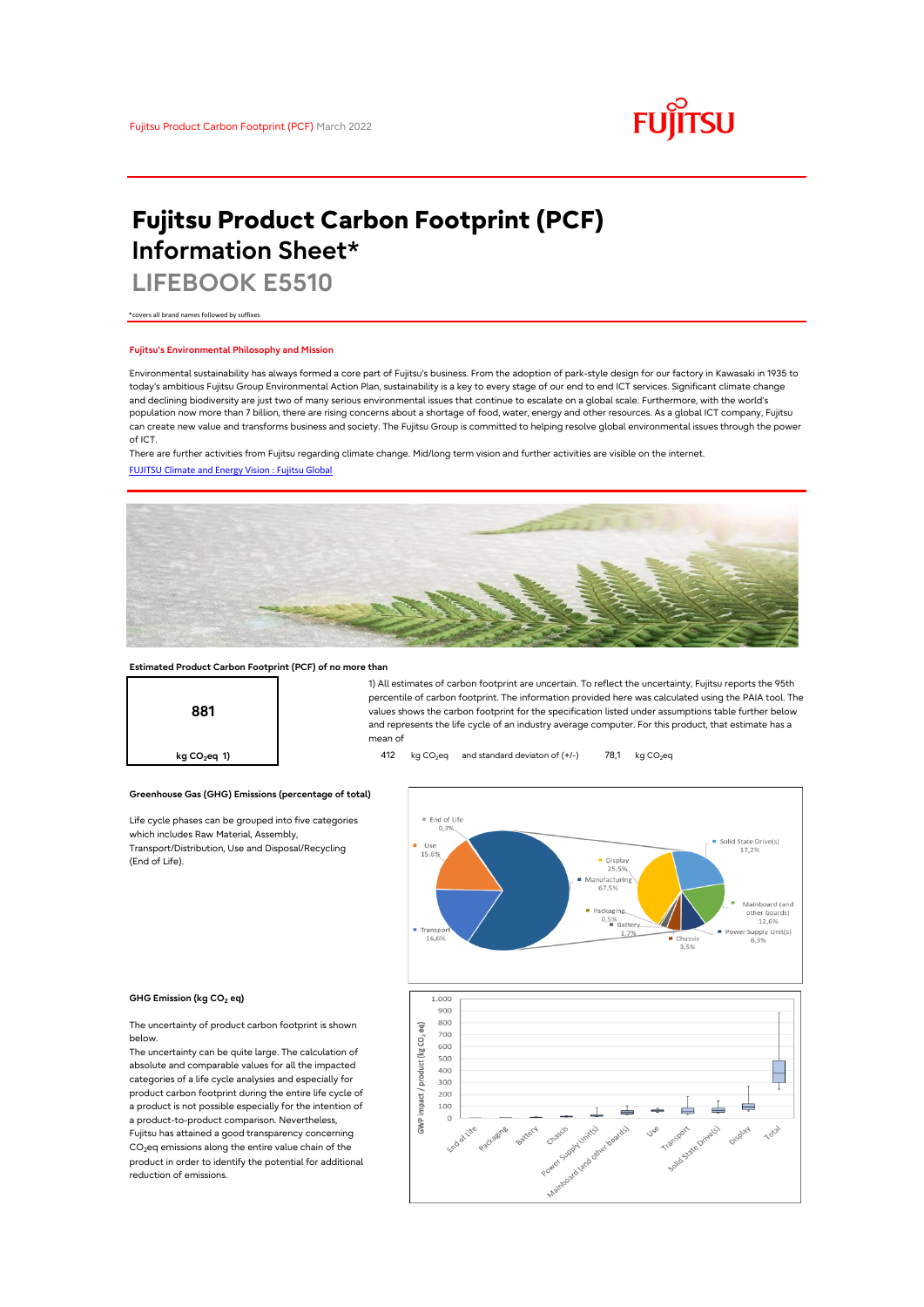

# **Fujitsu Product Carbon Footprint (PCF) Information Sheet\***

**LIFEBOOK E5510**

\*covers all brand names followed by suffixes

## **Fujitsu's Environmental Philosophy and Mission**

Environmental sustainability has always formed a core part of Fujitsu's business. From the adoption of park-style design for our factory in Kawasaki in 1935 to today's ambitious Fujitsu Group Environmental Action Plan, sustainability is a key to every stage of our end to end ICT services. Significant climate change and declining biodiversity are just two of many serious environmental issues that continue to escalate on a global scale. Furthermore, with the world's population now more than 7 billion, there are rising concerns about a shortage of food, water, energy and other resources. As a global ICT company, Fujitsu can create new value and transforms business and society. The Fujitsu Group is committed to helping resolve global environmental issues through the power of ICT.

[FUJITSU Climate and Energy Vision : Fujitsu Global](https://www.fujitsu.com/global/about/environment/climate-energy-vision/) There are further activities from Fujitsu regarding climate change. Mid/long term vision and further activities are visible on the internet.



## **Estimated Product Carbon Footprint (PCF) of no more than**



1) All estimates of carbon footprint are uncertain. To reflect the uncertainty, Fujitsu reports the 95th percentile of carbon footprint. The information provided here was calculated using the PAIA tool. The values shows the carbon footprint for the specification listed under assumptions table further below and represents the life cycle of an industry average computer. For this product, that estimate has a mean of

**kg CO<sub>2</sub>eq 1) 412** kg CO<sub>2</sub>eq and standard deviaton of (+/-) 78,1 kg CO<sub>2</sub>eq

# **Greenhouse Gas (GHG) Emissions (percentage of total)**

Life cycle phases can be grouped into five categories which includes Raw Material, Assembly, Transport/Distribution, Use and Disposal/Recycling (End of Life).



### **GHG Emission (kg CO2 eq)**

The uncertainty of product carbon footprint is shown below.

The uncertainty can be quite large. The calculation of absolute and comparable values for all the impacted categories of a life cycle analysies and especially for product carbon footprint during the entire life cycle of a product is not possible especially for the intention of a product-to-product comparison. Nevertheless, Fujitsu has attained a good transparency concerning  $CO<sub>2</sub>$ eq emissions along the entire value chain of the product in order to identify the potential for additional reduction of emissions.